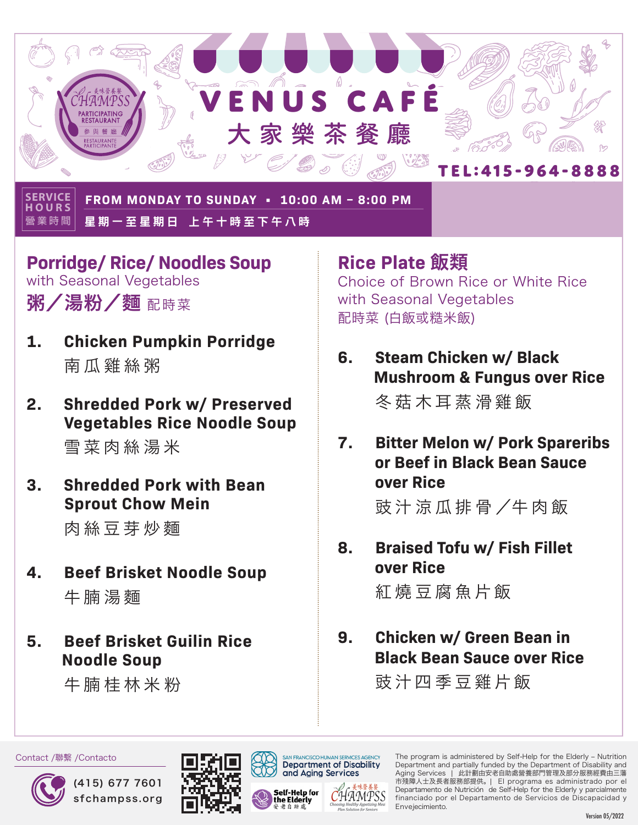

**營業時間 SERVICE HOURS FROM MONDAY TO SUNDAY • 10:00 AM – 8:00 PM** 星期一至星期日 上午十時至下午八時

- **Porridge/ Rice/ Noodles Soup** with Seasonal Vegetables 粥/湯粉/麵 配時菜
- **1. Chicken Pumpkin Porridge** 南瓜雞絲粥
- **2. Shredded Pork w/ Preserved Vegetables Rice Noodle Soup**  雪菜肉絲湯米
- **3. Shredded Pork with Bean Sprout Chow Mein**

肉絲豆芽炒麵

- **4. Beef Brisket Noodle Soup**  牛腩湯麵
- **5. Beef Brisket Guilin Rice Noodle Soup**

牛腩桂林米粉

**Rice Plate** 飯類 Choice of Brown Rice or White Rice with Seasonal Vegetables 配時菜 (白飯或糙米飯)

- **6. Steam Chicken w/ Black Mushroom & Fungus over Rice** 冬菇木耳蒸滑雞飯
- **7. Bitter Melon w/ Pork Spareribs or Beef in Black Bean Sauce over Rice**  豉 汁 涼 瓜 排 骨 /牛 肉 飯
- **8. Braised Tofu w/ Fish Fillet over Rice**

紅燒豆腐魚片飯

**9. Chicken w/ Green Bean in Black Bean Sauce over Rice**

豉汁四季豆雞片飯



Contact /聯繫 /Contacto







The program is administered by Self-Help for the Elderly – Nutrition Department and partially funded by the Department of Disability and Aging Services | 此計劃由安老自助處營養部門管理及部分服務經費由三藩 市殘障人士及長者服務部提供。 | El programa es administrado por el Departamento de Nutrición de Self-Help for the Elderly y parcialmente financiado por el Departamento de Servicios de Discapacidad y Envejecimiento.